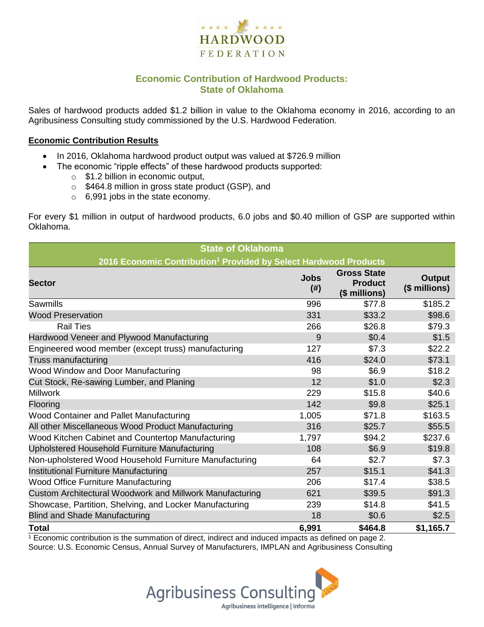

## **Economic Contribution of Hardwood Products: State of Oklahoma**

Sales of hardwood products added \$1.2 billion in value to the Oklahoma economy in 2016, according to an Agribusiness Consulting study commissioned by the U.S. Hardwood Federation.

#### **Economic Contribution Results**

- In 2016, Oklahoma hardwood product output was valued at \$726.9 million
	- The economic "ripple effects" of these hardwood products supported:
		- o \$1.2 billion in economic output,
		- o \$464.8 million in gross state product (GSP), and
		- o 6,991 jobs in the state economy.

For every \$1 million in output of hardwood products, 6.0 jobs and \$0.40 million of GSP are supported within Oklahoma.

| <b>State of Oklahoma</b>                                                     |                     |                                                       |                                |  |  |
|------------------------------------------------------------------------------|---------------------|-------------------------------------------------------|--------------------------------|--|--|
| 2016 Economic Contribution <sup>1</sup> Provided by Select Hardwood Products |                     |                                                       |                                |  |  |
| <b>Sector</b>                                                                | <b>Jobs</b><br>(# ) | <b>Gross State</b><br><b>Product</b><br>(\$ millions) | <b>Output</b><br>(\$ millions) |  |  |
| Sawmills                                                                     | 996                 | \$77.8                                                | \$185.2                        |  |  |
| <b>Wood Preservation</b>                                                     | 331                 | \$33.2                                                | \$98.6                         |  |  |
| <b>Rail Ties</b>                                                             | 266                 | \$26.8                                                | \$79.3                         |  |  |
| Hardwood Veneer and Plywood Manufacturing                                    | 9                   | \$0.4                                                 | \$1.5                          |  |  |
| Engineered wood member (except truss) manufacturing                          | 127                 | \$7.3                                                 | \$22.2                         |  |  |
| Truss manufacturing                                                          | 416                 | \$24.0                                                | \$73.1                         |  |  |
| Wood Window and Door Manufacturing                                           | 98                  | \$6.9                                                 | \$18.2                         |  |  |
| Cut Stock, Re-sawing Lumber, and Planing                                     | 12                  | \$1.0                                                 | \$2.3                          |  |  |
| <b>Millwork</b>                                                              | 229                 | \$15.8                                                | \$40.6                         |  |  |
| Flooring                                                                     | 142                 | \$9.8                                                 | \$25.1                         |  |  |
| Wood Container and Pallet Manufacturing                                      | 1,005               | \$71.8                                                | \$163.5                        |  |  |
| All other Miscellaneous Wood Product Manufacturing                           | 316                 | \$25.7                                                | \$55.5                         |  |  |
| Wood Kitchen Cabinet and Countertop Manufacturing                            | 1,797               | \$94.2                                                | \$237.6                        |  |  |
| Upholstered Household Furniture Manufacturing                                | 108                 | \$6.9                                                 | \$19.8                         |  |  |
| Non-upholstered Wood Household Furniture Manufacturing                       | 64                  | \$2.7                                                 | \$7.3                          |  |  |
| Institutional Furniture Manufacturing                                        | 257                 | \$15.1                                                | \$41.3                         |  |  |
| Wood Office Furniture Manufacturing                                          | 206                 | \$17.4                                                | \$38.5                         |  |  |
| Custom Architectural Woodwork and Millwork Manufacturing                     | 621                 | \$39.5                                                | \$91.3                         |  |  |
| Showcase, Partition, Shelving, and Locker Manufacturing                      | 239                 | \$14.8                                                | \$41.5                         |  |  |
| <b>Blind and Shade Manufacturing</b>                                         | 18                  | \$0.6                                                 | \$2.5                          |  |  |
| <b>Total</b>                                                                 | 6,991               | \$464.8                                               | \$1,165.7                      |  |  |

 $1$  Economic contribution is the summation of direct, indirect and induced impacts as defined on page 2. Source: U.S. Economic Census, Annual Survey of Manufacturers, IMPLAN and Agribusiness Consulting